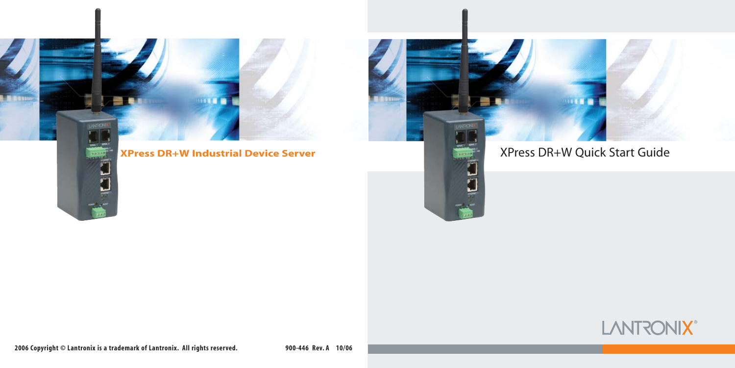

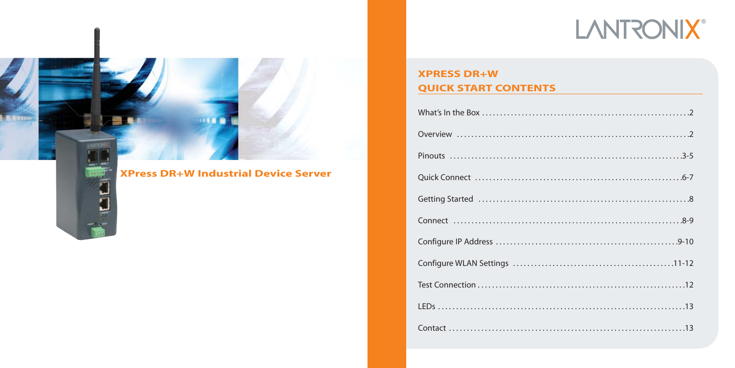# **LANTRONIX®**



m  $\overline{r}$  **XPress DR+W Industrial Device Server** 

# **XPRESS DR+W QUICK START CONTENTS**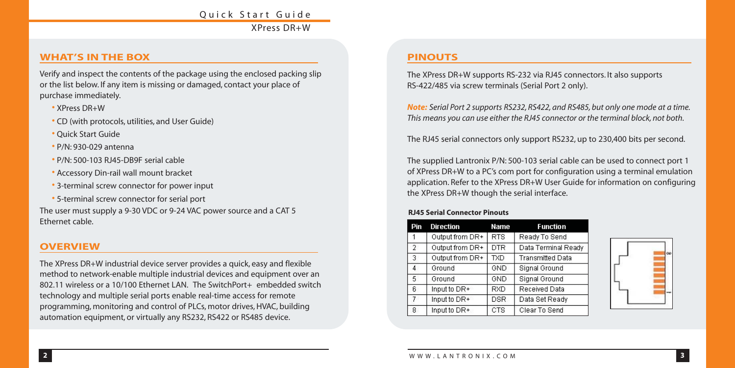# Quick Start Guide XPress DR+W

#### **WHAT'S IN THE BOX**

Verify and inspect the contents of the package using the enclosed packing slip or the list below. If any item is missing or damaged, contact your place of purchase immediately.

- XPress DR+W
- CD (with protocols, utilities, and User Guide)
- Quick Start Guide
- P/N: 930-029 antenna
- P/N: 500-103 RJ45-DB9F serial cable
- Accessory Din-rail wall mount bracket
- 3-terminal screw connector for power input
- 5-terminal screw connector for serial port

The user must supply a 9-30 VDC or 9-24 VAC power source and a CAT 5 Ethernet cable.

#### **OVERVIEW**

The XPress DR+W industrial device server provides a quick, easy and flexible method to network-enable multiple industrial devices and equipment over an 802.11 wireless or a 10/100 Ethernet LAN. The SwitchPort+ embedded switch technology and multiple serial ports enable real-time access for remote programming, monitoring and control of PLCs, motor drives, HVAC, building automation equipment, or virtually any RS232, RS422 or RS485 device.

#### **PINOUTS**

The XPress DR+W supports RS-232 via RJ45 connectors. It also supports RS-422/485 via screw terminals (Serial Port 2 only).

*Note: Serial Port 2 supports RS232, RS422, and RS485, but only one mode at a time. This means you can use either the RJ45 connector or the terminal block, not both.*

The RJ45 serial connectors only support RS232, up to 230,400 bits per second.

The supplied Lantronix P/N: 500-103 serial cable can be used to connect port 1 of XPress DR+W to a PC's com port for configuration using a terminal emulation application. Refer to the XPress DR+W User Guide for information on configuring the XPress DR+W though the serial interface.

#### **RJ45 Serial Connector Pinouts**

| Pin            | <b>Direction</b> | <b>Name</b> | <b>Function</b>         |
|----------------|------------------|-------------|-------------------------|
|                | Output from DR+  | <b>RTS</b>  | Ready To Send           |
| $\overline{2}$ | Output from DR+  | <b>DTR</b>  | Data Terminal Ready     |
| 3              | Output from DR+  | <b>TXD</b>  | <b>Transmitted Data</b> |
| 4              | Ground           | GND         | Signal Ground           |
| 5              | Ground           | GND         | Signal Ground           |
| 6              | Input to DR+     | <b>RXD</b>  | Received Data           |
| $\overline{I}$ | Input to DR+     | <b>DSR</b>  | Data Set Ready          |
| 8              | Input to DR+     | <b>CTS</b>  | Clear To Send           |

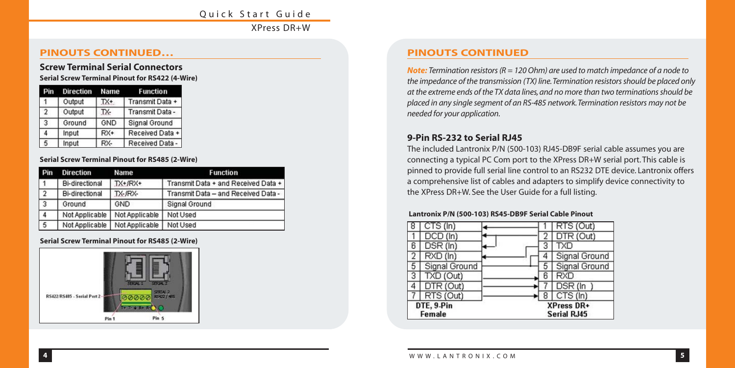#### Quick Start Guide XPress DR+W

#### **PINOUTS CONTINUED… PINOUTS CONTINUED**

# **Screw Terminal Serial Connectors**

**Serial Screw Terminal Pinout for RS422 (4-Wire)**

|               | <b>Direction Name</b> |       | <b>Function</b>      |
|---------------|-----------------------|-------|----------------------|
|               | Output                | TX+   | Transmit Data +      |
| $\mathcal{D}$ | Output                | TX-   | Transmit Data -      |
| 3             | Ground                | GND   | <b>Signal Ground</b> |
| 4             | Input                 | $RX+$ | Received Data +      |
| 5             | Input                 | RX-   | Received Data        |

#### **Serial Screw Terminal Pinout for RS485 (2-Wire)**

| Pin            | <b>Direction</b>      | Name           | <b>Function</b>                     |
|----------------|-----------------------|----------------|-------------------------------------|
|                | <b>Bi-directional</b> | $TX+ fRX+$     | Transmit Data + and Received Data + |
| $\overline{2}$ | <b>Bi-directional</b> | TX-JRX-        | Transmit Data - and Received Data - |
| $\overline{3}$ | Ground                | GND            | <b>Signal Ground</b>                |
| $\overline{4}$ | Not Applicable        | Not Applicable | Not Used                            |
| $\overline{5}$ | Not Applicable        | Not Applicable | Not Used                            |

#### **Serial Screw Terminal Pinout for RS485 (2-Wire)**



*Note: Termination resistors (R = 120 Ohm) are used to match impedance of a node to the impedance of the transmission (TX) line.Termination resistors should be placed only at the extreme ends of the TX data lines, and no more than two terminations should be placed in any single segment of an RS-485 network.Termination resistors may not be needed for your application.*

#### **9-Pin RS-232 to Serial RJ45**

The included Lantronix P/N (500-103) RJ45-DB9F serial cable assumes you are connecting a typical PC Com port to the XPress DR+W serial port. This cable is pinned to provide full serial line control to an RS232 DTE device. Lantronix offers a comprehensive list of cables and adapters to simplify device connectivity to the XPress DR+W. See the User Guide for a full listing.

#### **Lantronix P/N (500-103) RS45-DB9F Serial Cable Pinout**

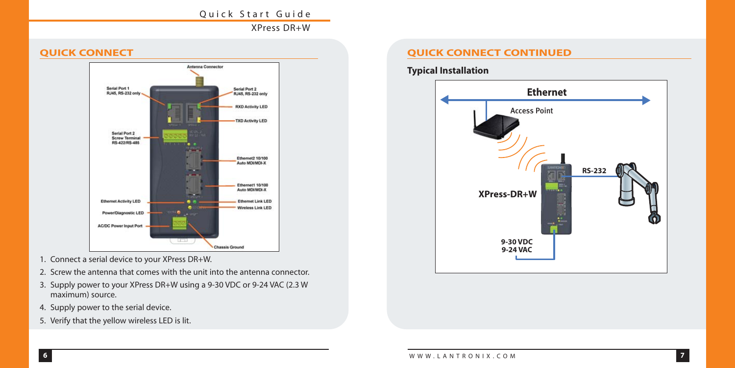#### Quick Start Guide

XPress DR+W

#### **QUICK CONNECT**



- 1. Connect a serial device to your XPress DR+W.
- 2. Screw the antenna that comes with the unit into the antenna connector.
- 3. Supply power to your XPress DR+W using a 9-30 VDC or 9-24 VAC (2.3 W maximum) source.
- 4. Supply power to the serial device.
- 5. Verify that the yellow wireless LED is lit.

#### **QUICK CONNECT CONTINUED**

**Typical Installation**

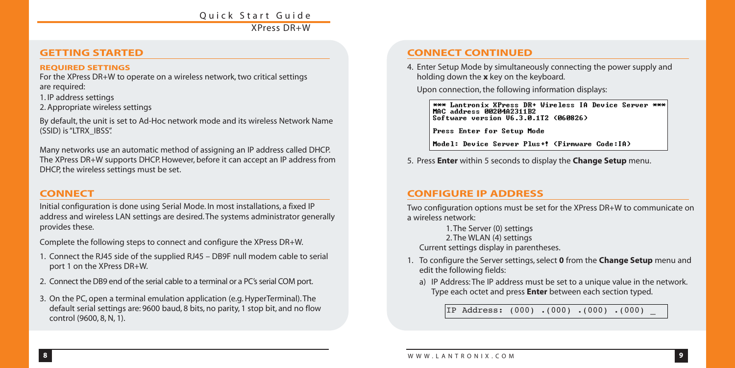### Quick Start Guide XPress DR+W

#### **GETTING STARTED**

#### **REQUIRED SETTINGS**

For the XPress DR+W to operate on a wireless network, two critical settings are required:

1. IP address settings

2. Appropriate wireless settings

By default, the unit is set to Ad-Hoc network mode and its wireless Network Name (SSID) is "LTRX\_IBSS".

Many networks use an automatic method of assigning an IP address called DHCP. The XPress DR+W supports DHCP. However, before it can accept an IP address from DHCP, the wireless settings must be set.

#### **CONNECT**

Initial configuration is done using Serial Mode. In most installations, a fixed IP address and wireless LAN settings are desired. The systems administrator generally provides these.

Complete the following steps to connect and configure the XPress DR+W.

- 1. Connect the RJ45 side of the supplied RJ45 DB9F null modem cable to serial port 1 on the XPress DR+W.
- 2. Connect the DB9 end of the serial cable to a terminal or a PC's serial COM port.
- 3. On the PC, open a terminal emulation application (e.g. HyperTerminal). The default serial settings are: 9600 baud, 8 bits, no parity, 1 stop bit, and no flow **Interact of the State Left and result of the State Address:** (000) .(000) .(000) .(000) .(000) .(000) .(000) .(000) .(000) .(000) .(000) .

### **CONNECT CONTINUED**

4. Enter Setup Mode by simultaneously connecting the power supply and holding down the **x** key on the keyboard.

Upon connection, the following information displays:

\*\*\* Lantronix XPress DR+ Wireless IA Device Server \*\*\* MAC address 0020402311B2 Software version U6.3.0.1T2 (060826)

Press Enter for Setup Mode

Model: Device Server Plus+! (Firmware Code:IA)

5. Press **Enter** within 5 seconds to display the **Change Setup** menu.

#### **CONFIGURE IP ADDRESS**

Two configuration options must be set for the XPress DR+W to communicate on a wireless network:

1. The Server (0) settings

2. The WLAN (4) settings

Current settings display in parentheses.

- 1. To configure the Server settings, select **0** from the **Change Setup** menu and edit the following fields:
	- a) IP Address: The IP address must be set to a unique value in the network. Type each octet and press **Enter** between each section typed.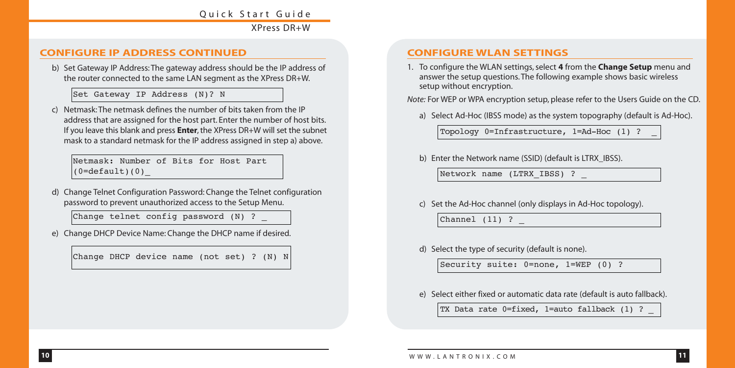# Quick Start Guide

XPress DR+W

#### **CONFIGURE IP ADDRESS CONTINUED**

b) Set Gateway IP Address: The gateway address should be the IP address of the router connected to the same LAN segment as the XPress DR+W.

Set Gateway IP Address (N)? N

c) Netmask: The netmask defines the number of bits taken from the IP address that are assigned for the host part. Enter the number of host bits. If you leave this blank and press **Enter**, the XPress DR+W will set the subnet mask to a standard netmask for the IP address assigned in step a) above.

Netmask: Number of Bits for Host Part  $(0=$ default $(0)$ 

d) Change Telnet Configuration Password: Change the Telnet configuration password to prevent unauthorized access to the Setup Menu.

Change telnet config password (N) ? \_

e) Change DHCP Device Name: Change the DHCP name if desired.

Change DHCP device name (not set) ? (N) N

#### **CONFIGURE WLAN SETTINGS**

1. To configure the WLAN settings, select **4** from the **Change Setup** menu and answer the setup questions. The following example shows basic wireless setup without encryption.

*Note:* For WEP or WPA encryption setup, please refer to the Users Guide on the CD.

a) Select Ad-Hoc (IBSS mode) as the system topography (default is Ad-Hoc).

Topology 0=Infrastructure, 1=Ad-Hoc (1) ? \_

b) Enter the Network name (SSID) (default is LTRX\_IBSS).

Network name (LTRX\_IBSS) ? \_

c) Set the Ad-Hoc channel (only displays in Ad-Hoc topology).

Channel (11) ? \_

d) Select the type of security (default is none).

Security suite: 0=none, 1=WEP (0) ?

e) Select either fixed or automatic data rate (default is auto fallback).

TX Data rate 0=fixed, 1=auto fallback (1) ?